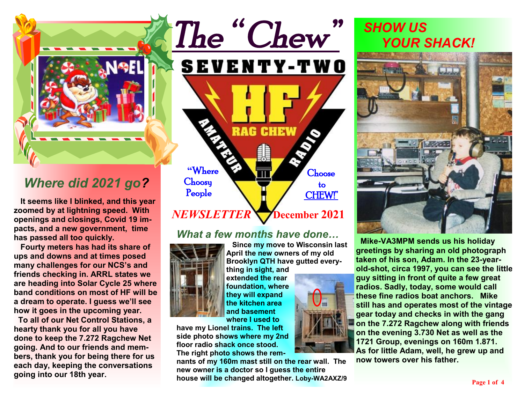

# *Where did 2021 go?*

**It seems like I blinked, and this year zoomed by at lightning speed. With openings and closings, Covid 19 impacts, and a new government, time has passed all too quickly.** 

 **Fourty meters has had its share of ups and downs and at times posed many challenges for our NCS's and friends checking in. ARRL states we are heading into Solar Cycle 25 where band conditions on most of HF will be a dream to operate. I guess we'll see how it goes in the upcoming year.** 

 **To all of our Net Control Stations, a hearty thank you for all you have done to keep the 7.272 Ragchew Net going. And to our friends and members, thank you for being there for us each day, keeping the conversations going into our 18th year.** 



#### *What a few months have done…*



**Since my move to Wisconsin last April the new owners of my old Brooklyn QTH have gutted every-**

**thing in sight, and extended the rear foundation, where they will expand the kitchen area and basement where I used to** 

**have my Lionel trains. The left side photo shows where my 2nd floor radio shack once stood. The right photo shows the rem-**

**nants of my 160m mast still on the rear wall. The new owner is a doctor so I guess the entire house will be changed altogether. Loby-WA2AXZ/9**





**Mike-VA3MPM sends us his holiday greetings by sharing an old photograph taken of his son, Adam. In the 23-yearold-shot, circa 1997, you can see the little guy sitting in front of quite a few great radios. Sadly, today, some would call these fine radios boat anchors. Mike still has and operates most of the vintage gear today and checks in with the gang on the 7.272 Ragchew along with friends on the evening 3.730 Net as well as the 1721 Group, evenings on 160m 1.871. As for little Adam, well, he grew up and now towers over his father.**

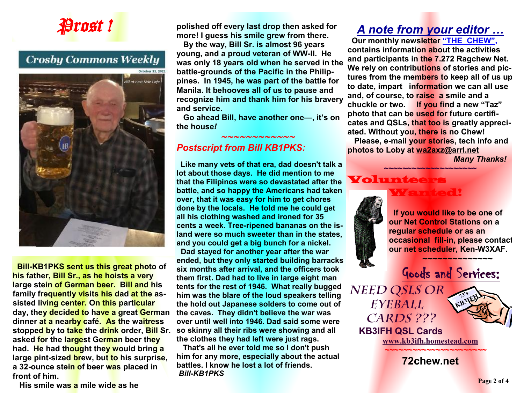

## **Crosby Commons Weekly**



 **Bill-KB1PKS sent us this great photo of his father, Bill Sr., as he hoists a very large stein of German beer. Bill and his family frequently visits his dad at the assisted living center. On this particular day, they decided to have a great German dinner at a nearby café. As the waitress stopped by to take the drink order, Bill Sr. asked for the largest German beer they had. He had thought they would bring a large pint-sized brew, but to his surprise, a 32-ounce stein of beer was placed in front of him.** 

 **His smile was a mile wide as he** 

**polished off every last drop then asked for more! I guess his smile grew from there.** 

 **By the way, Bill Sr. is almost 96 years young, and a proud veteran of WW-II. He was only 18 years old when he served in the battle-grounds of the Pacific in the Philippines. In 1945, he was part of the battle for Manila. It behooves all of us to pause and recognize him and thank him for his bravery and service.** 

 **Go ahead Bill, have another one—, it's on the house***!* 

#### *Postscript from Bill KB1PKS:*

 *~~~~~~~~~~~~*

 **Like many vets of that era, dad doesn't talk a lot about those days. He did mention to me that the Filipinos were so devastated after the battle, and so happy the Americans had taken over, that it was easy for him to get chores done by the locals. He told me he could get all his clothing washed and ironed for 35 cents a week. Tree-ripened bananas on the island were so much sweeter than in the states, and you could get a big bunch for a nickel.** 

 **Dad stayed for another year after the war ended, but they only started building barracks six months after arrival, and the officers took them first. Dad had to live in large eight man tents for the rest of 1946. What really bugged him was the blare of the loud speakers telling the hold out Japanese solders to come out of the caves. They didn't believe the war was over until well into 1946. Dad said some were so skinny all their ribs were showing and all the clothes they had left were just rags.** 

 **That's all he ever told me so I don't push him for any more, especially about the actual battles. I know he lost a lot of friends.**  *Bill-KB1PKS*

## *A note from your editor …*

 **Our monthly newsletter "THE CHEW", contains information about the activities and participants in the 7.272 Ragchew Net. We rely on contributions of stories and pictures from the members to keep all of us up to date, impart information we can all use and, of course, to raise a smile and a chuckle or two. If you find a new "Taz" photo that can be used for future certificates and QSLs, that too is greatly appreciated. Without you, there is no Chew! Please, e-mail your stories, tech info and photos to Loby at [wa2axz@arrl.net](mailto:wa2axz@arrl.net)** 

**~~~~~~~~~~~~~~~~~~~~**

Wanted!

*Many Thanks!* 

#### Voluntee



 **If you would like to be one of our Net Control Stations on a regular schedule or as an occasional fill-in, please contact our net scheduler, Ken-W3XAF.**

 **~~~~~~~~~~~~~~** 



*Eyeball Cards ???* 



 **KB3IFH QSL Cards [www.kb3ifh.homestead.com](http://www.kb3ifh.homestead.com) ~~~~~~~~~~~~~~~~~~~~~~** 

**72chew.net**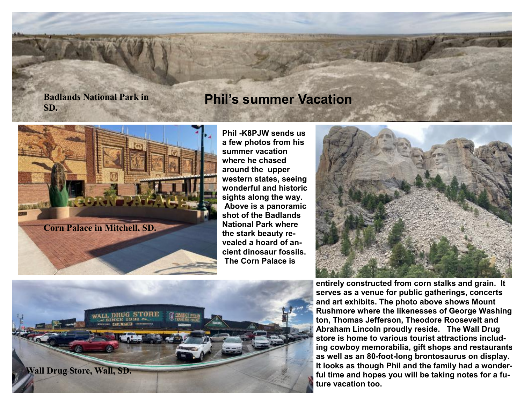#### **Badlands National Park in SD.**

## **Phil's summer Vacation**



**Phil -K8PJW sends us a few photos from his summer vacation where he chased around the upper western states, seeing wonderful and historic sights along the way. Above is a panoramic shot of the Badlands National Park where the stark beauty revealed a hoard of ancient dinosaur fossils. The Corn Palace is** 





**entirely constructed from corn stalks and grain. It serves as a venue for public gatherings, concerts and art exhibits. The photo above shows Mount Rushmore where the likenesses of George Washington, Thomas Jefferson, Theodore Roosevelt and Abraham Lincoln proudly reside. The Wall Drug store is home to various tourist attractions including cowboy memorabilia, gift shops and restaurants as well as an 80-foot-long brontosaurus on display. It looks as though Phil and the family had a wonderful time and hopes you will be taking notes for a future vacation too.**